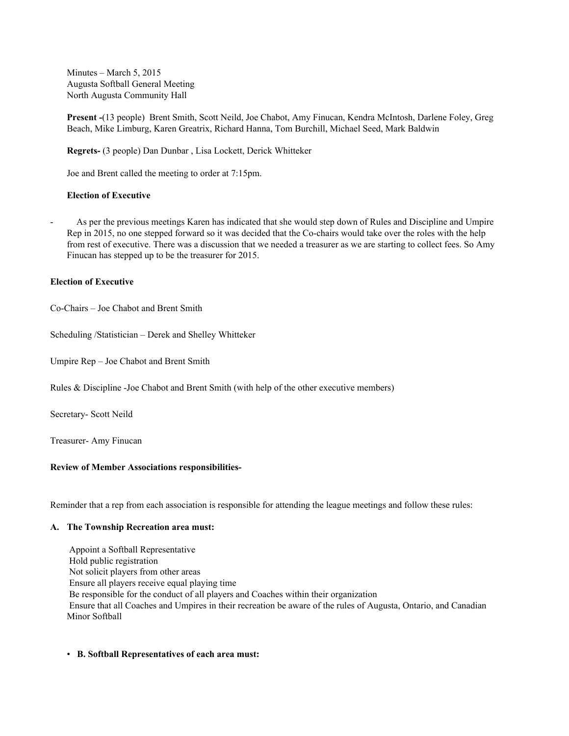Minutes – March 5, 2015 Augusta Softball General Meeting North Augusta Community Hall

**Present** (13 people) Brent Smith, Scott Neild, Joe Chabot, Amy Finucan, Kendra McIntosh, Darlene Foley, Greg Beach, Mike Limburg, Karen Greatrix, Richard Hanna, Tom Burchill, Michael Seed, Mark Baldwin

**Regrets-** (3 people) Dan Dunbar, Lisa Lockett, Derick Whitteker

Joe and Brent called the meeting to order at 7:15pm.

## **Election of Executive**

 As per the previous meetings Karen has indicated that she would step down of Rules and Discipline and Umpire Rep in 2015, no one stepped forward so it was decided that the Cochairs would take over the roles with the help from rest of executive. There was a discussion that we needed a treasurer as we are starting to collect fees. So Amy Finucan has stepped up to be the treasurer for 2015.

## **Election of Executive**

CoChairs – Joe Chabot and Brent Smith

Scheduling /Statistician – Derek and Shelley Whitteker

Umpire Rep – Joe Chabot and Brent Smith

Rules & Discipline Joe Chabot and Brent Smith (with help of the other executive members)

Secretary- Scott Neild

Treasurer-Amy Finucan

## **Review of Member Associations responsibilities-**

Reminder that a rep from each association is responsible for attending the league meetings and follow these rules:

### **A. The Township Recreation area must:**

Appoint a Softball Representative Hold public registration Not solicit players from other areas Ensure all players receive equal playing time Be responsible for the conduct of all players and Coaches within their organization Ensure that all Coaches and Umpires in their recreation be aware of the rules of Augusta, Ontario, and Canadian Minor Softball

## • **B. Softball Representatives of each area must:**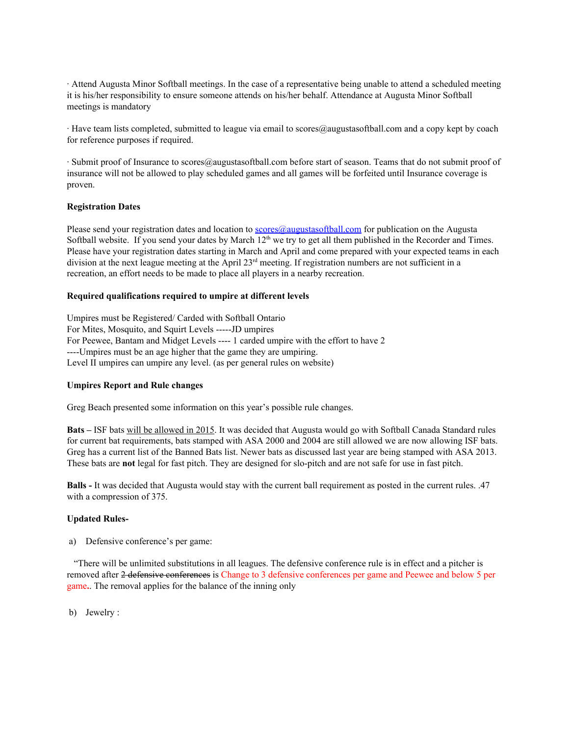∙ Attend Augusta Minor Softball meetings. In the case of a representative being unable to attend a scheduled meeting it is his/her responsibility to ensure someone attends on his/her behalf. Attendance at Augusta Minor Softball meetings is mandatory

∙ Have team lists completed, submitted to league via email to scores@augustasoftball.com and a copy kept by coach for reference purposes if required.

∙ Submit proof of Insurance to scores@augustasoftball.com before start of season. Teams that do not submit proof of insurance will not be allowed to play scheduled games and all games will be forfeited until Insurance coverage is proven.

## **Registration Dates**

Please send your registration dates and location to [scores@augustasoftball.com](mailto:scores@augustasoftball.com) for publication on the Augusta Softball website. If you send your dates by March  $12<sup>th</sup>$  we try to get all them published in the Recorder and Times. Please have your registration dates starting in March and April and come prepared with your expected teams in each division at the next league meeting at the April  $23<sup>rd</sup>$  meeting. If registration numbers are not sufficient in a recreation, an effort needs to be made to place all players in a nearby recreation.

## **Required qualifications required to umpire at different levels**

Umpires must be Registered/ Carded with Softball Ontario For Mites, Mosquito, and Squirt Levels ----- JD umpires For Peewee, Bantam and Midget Levels ---- 1 carded umpire with the effort to have 2 Umpires must be an age higher that the game they are umpiring. Level II umpires can umpire any level. (as per general rules on website)

## **Umpires Report and Rule changes**

Greg Beach presented some information on this year's possible rule changes.

**Bats –** ISF bats will be allowed in 2015. It was decided that Augusta would go with Softball Canada Standard rules for current bat requirements, bats stamped with ASA 2000 and 2004 are still allowed we are now allowing ISF bats. Greg has a current list of the Banned Bats list. Newer bats as discussed last year are being stamped with ASA 2013. These bats are **not** legal for fast pitch. They are designed for slopitch and are not safe for use in fast pitch.

**Balls** - It was decided that Augusta would stay with the current ball requirement as posted in the current rules. .47 with a compression of 375.

### **Updated Rules-**

a) Defensive conference's per game:

"There will be unlimited substitutions in all leagues. The defensive conference rule is in effect and a pitcher is removed after 2 defensive conferences is Change to 3 defensive conferences per game and Peewee and below 5 per game**.**. The removal applies for the balance of the inning only

b) Jewelry :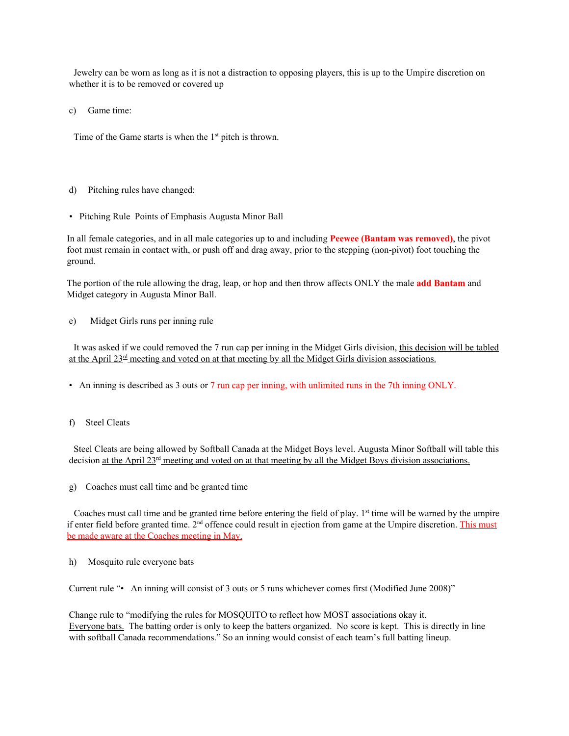Jewelry can be worn as long as it is not a distraction to opposing players, this is up to the Umpire discretion on whether it is to be removed or covered up

c) Game time:

Time of the Game starts is when the  $1<sup>st</sup>$  pitch is thrown.

- d) Pitching rules have changed:
- Pitching Rule Points of Emphasis Augusta Minor Ball

In all female categories, and in all male categories up to and including **Peewee (Bantam was removed)**, the pivot foot must remain in contact with, or push off and drag away, prior to the stepping (non-pivot) foot touching the ground.

The portion of the rule allowing the drag, leap, or hop and then throw affects ONLY the male **add Bantam** and Midget category in Augusta Minor Ball.

e) Midget Girls runs per inning rule

It was asked if we could removed the 7 run cap per inning in the Midget Girls division, this decision will be tabled at the April  $23<sup>rd</sup>$  meeting and voted on at that meeting by all the Midget Girls division associations.

- An inning is described as 3 outs or 7 run cap per inning, with unlimited runs in the 7th inning ONLY.
- f) Steel Cleats

Steel Cleats are being allowed by Softball Canada at the Midget Boys level. Augusta Minor Softball will table this decision <u>at the April 23<sup>rd</sup> meeting and voted on at that meeting by all the Midget Boys division associations.</u>

g) Coaches must call time and be granted time

Coaches must call time and be granted time before entering the field of play. 1<sup>st</sup> time will be warned by the umpire if enter field before granted time.  $2<sup>nd</sup>$  offence could result in ejection from game at the Umpire discretion. This must be made aware at the Coaches meeting in May.

## h) Mosquito rule everyone bats

Current rule "• An inning will consist of 3 outs or 5 runs whichever comes first (Modified June 2008)"

Change rule to "modifying the rules for MOSQUITO to reflect how MOST associations okay it. Everyone bats. The batting order is only to keep the batters organized. No score is kept. This is directly in line with softball Canada recommendations." So an inning would consist of each team's full batting lineup.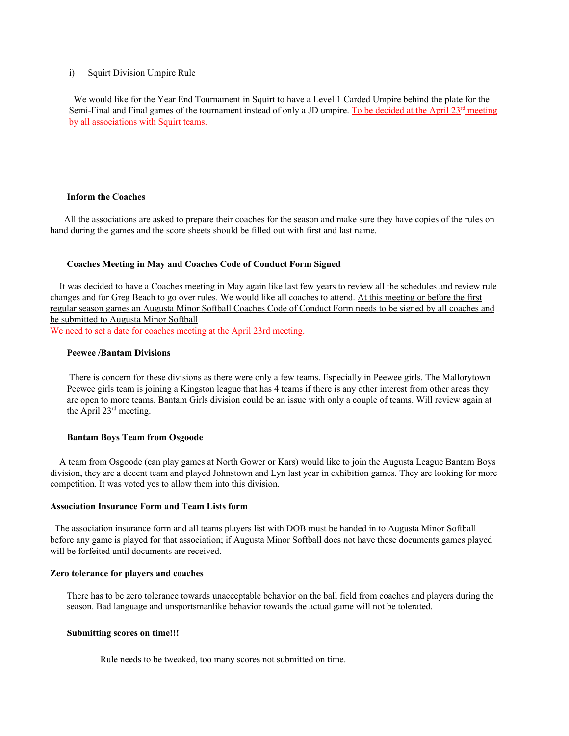### i) Squirt Division Umpire Rule

We would like for the Year End Tournament in Squirt to have a Level 1 Carded Umpire behind the plate for the Semi-Final and Final games of the tournament instead of only a JD umpire. To be decided at the April 23<sup>rd</sup> meeting by all associations with Squirt teams.

## **Inform the Coaches**

All the associations are asked to prepare their coaches for the season and make sure they have copies of the rules on hand during the games and the score sheets should be filled out with first and last name.

#### **Coaches Meeting in May and Coaches Code of Conduct Form Signed**

It was decided to have a Coaches meeting in May again like last few years to review all the schedules and review rule changes and for Greg Beach to go over rules. We would like all coaches to attend. At this meeting or before the first regular season games an Augusta Minor Softball Coaches Code of Conduct Form needs to be signed by all coaches and be submitted to Augusta Minor Softball

We need to set a date for coaches meeting at the April 23rd meeting.

#### **Peewee /Bantam Divisions**

There is concern for these divisions as there were only a few teams. Especially in Peewee girls. The Mallorytown Peewee girls team is joining a Kingston league that has 4 teams if there is any other interest from other areas they are open to more teams. Bantam Girls division could be an issue with only a couple of teams. Will review again at the April 23<sup>rd</sup> meeting.

#### **Bantam Boys Team from Osgoode**

A team from Osgoode (can play games at North Gower or Kars) would like to join the Augusta League Bantam Boys division, they are a decent team and played Johnstown and Lyn last year in exhibition games. They are looking for more competition. It was voted yes to allow them into this division.

## **Association Insurance Form and Team Lists form**

The association insurance form and all teams players list with DOB must be handed in to Augusta Minor Softball before any game is played for that association; if Augusta Minor Softball does not have these documents games played will be forfeited until documents are received.

#### **Zero tolerance for players and coaches**

There has to be zero tolerance towards unacceptable behavior on the ball field from coaches and players during the season. Bad language and unsportsmanlike behavior towards the actual game will not be tolerated.

## **Submitting scores on time!!!**

Rule needs to be tweaked, too many scores not submitted on time.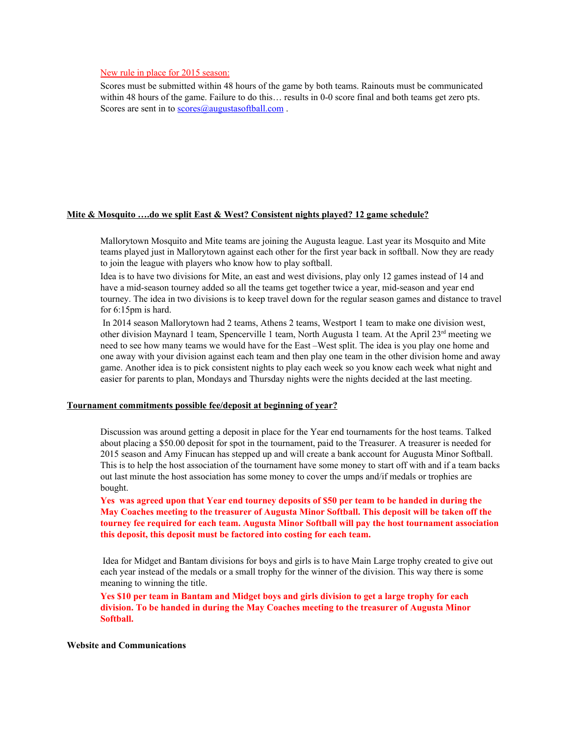## New rule in place for 2015 season:

Scores must be submitted within 48 hours of the game by both teams. Rainouts must be communicated within 48 hours of the game. Failure to do this... results in 0-0 score final and both teams get zero pts. Scores are sent in to [scores@augustasoftball.com](mailto:scores@augustasoftball.com).

## **Mite & Mosquito ….do we split East & West? Consistent nights played? 12 game schedule?**

Mallorytown Mosquito and Mite teams are joining the Augusta league. Last year its Mosquito and Mite teams played just in Mallorytown against each other for the first year back in softball. Now they are ready to join the league with players who know how to play softball.

Idea is to have two divisions for Mite, an east and west divisions, play only 12 games instead of 14 and have a mid-season tourney added so all the teams get together twice a year, mid-season and year end tourney. The idea in two divisions is to keep travel down for the regular season games and distance to travel for 6:15pm is hard.

In 2014 season Mallorytown had 2 teams, Athens 2 teams, Westport 1 team to make one division west, other division Maynard 1 team, Spencerville 1 team, North Augusta 1 team. At the April 23<sup>rd</sup> meeting we need to see how many teams we would have for the East –West split. The idea is you play one home and one away with your division against each team and then play one team in the other division home and away game. Another idea is to pick consistent nights to play each week so you know each week what night and easier for parents to plan, Mondays and Thursday nights were the nights decided at the last meeting.

## **Tournament commitments possible fee/deposit at beginning of year?**

Discussion was around getting a deposit in place for the Year end tournaments for the host teams. Talked about placing a \$50.00 deposit for spot in the tournament, paid to the Treasurer. A treasurer is needed for 2015 season and Amy Finucan has stepped up and will create a bank account for Augusta Minor Softball. This is to help the host association of the tournament have some money to start off with and if a team backs out last minute the host association has some money to cover the umps and/if medals or trophies are bought.

Yes was agreed upon that Year end tourney deposits of \$50 per team to be handed in during the **May Coaches meeting to the treasurer of Augusta Minor Softball. This deposit will be taken off the tourney fee required for each team. Augusta Minor Softball will pay the host tournament association this deposit, this deposit must be factored into costing for each team.**

Idea for Midget and Bantam divisions for boys and girls is to have Main Large trophy created to give out each year instead of the medals or a small trophy for the winner of the division. This way there is some meaning to winning the title.

Yes \$10 per team in Bantam and Midget boys and girls division to get a large trophy for each **division. To be handed in during the May Coaches meeting to the treasurer of Augusta Minor Softball.**

### **Website and Communications**